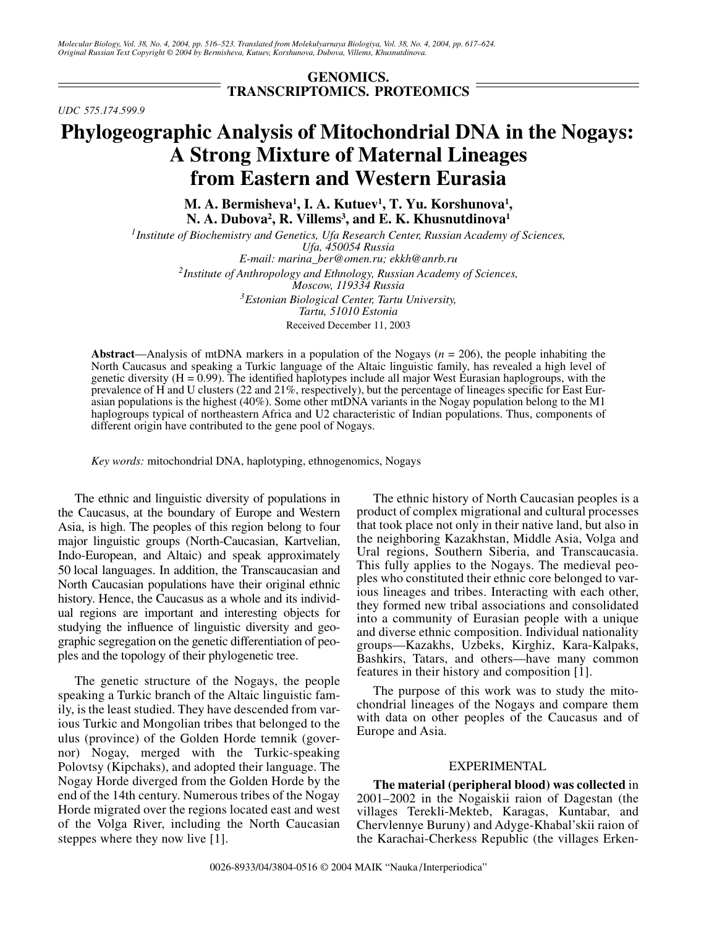*Molecular Biology, Vol. 38, No. 4, 2004, pp. 516–523. Translated from Molekulyarnaya Biologiya, Vol. 38, No. 4, 2004, pp. 617–624. Original Russian Text Copyright © 2004 by Bermisheva, Kutuev, Korshunova, Dubova, Villems, Khusnutdinova.*

> **GENOMICS. TRANSCRIPTOMICS. PROTEOMICS**

*UDC 575.174.599.9*

# **Phylogeographic Analysis of Mitochondrial DNA in the Nogays: A Strong Mixture of Maternal Lineages from Eastern and Western Eurasia**

**M. A. Bermisheva1 , I. A. Kutuev1 , T. Yu. Korshunova1 , N. A. Dubova2 , R. Villems3 , and E. K. Khusnutdinova1**

*1Institute of Biochemistry and Genetics, Ufa Research Center, Russian Academy of Sciences, Ufa, 450054 Russia E-mail: marina\_ber@omen.ru; ekkh@anrb.ru 2Institute of Anthropology and Ethnology, Russian Academy of Sciences, Moscow, 119334 Russia 3Estonian Biological Center, Tartu University, Tartu, 51010 Estonia* Received December 11, 2003

**Abstract**—Analysis of mtDNA markers in a population of the Nogays ( $n = 206$ ), the people inhabiting the North Caucasus and speaking a Turkic language of the Altaic linguistic family, has revealed a high level of genetic diversity  $(H = 0.99)$ . The identified haplotypes include all major West Eurasian haplogroups, with the prevalence of H and U clusters (22 and 21%, respectively), but the percentage of lineages specific for East Eurasian populations is the highest (40%). Some other mtDNA variants in the Nogay population belong to the M1 haplogroups typical of northeastern Africa and U2 characteristic of Indian populations. Thus, components of different origin have contributed to the gene pool of Nogays.

*Key words:* mitochondrial DNA, haplotyping, ethnogenomics, Nogays

The ethnic and linguistic diversity of populations in the Caucasus, at the boundary of Europe and Western Asia, is high. The peoples of this region belong to four major linguistic groups (North-Caucasian, Kartvelian, Indo-European, and Altaic) and speak approximately 50 local languages. In addition, the Transcaucasian and North Caucasian populations have their original ethnic history. Hence, the Caucasus as a whole and its individual regions are important and interesting objects for studying the influence of linguistic diversity and geographic segregation on the genetic differentiation of peoples and the topology of their phylogenetic tree.

The genetic structure of the Nogays, the people speaking a Turkic branch of the Altaic linguistic family, is the least studied. They have descended from various Turkic and Mongolian tribes that belonged to the ulus (province) of the Golden Horde temnik (governor) Nogay, merged with the Turkic-speaking Polovtsy (Kipchaks), and adopted their language. The Nogay Horde diverged from the Golden Horde by the end of the 14th century. Numerous tribes of the Nogay Horde migrated over the regions located east and west of the Volga River, including the North Caucasian steppes where they now live [1].

The ethnic history of North Caucasian peoples is a product of complex migrational and cultural processes that took place not only in their native land, but also in the neighboring Kazakhstan, Middle Asia, Volga and Ural regions, Southern Siberia, and Transcaucasia. This fully applies to the Nogays. The medieval peoples who constituted their ethnic core belonged to various lineages and tribes. Interacting with each other, they formed new tribal associations and consolidated into a community of Eurasian people with a unique and diverse ethnic composition. Individual nationality groups—Kazakhs, Uzbeks, Kirghiz, Kara-Kalpaks, Bashkirs, Tatars, and others—have many common features in their history and composition [1].

The purpose of this work was to study the mitochondrial lineages of the Nogays and compare them with data on other peoples of the Caucasus and of Europe and Asia.

## EXPERIMENTAL

**The material (peripheral blood) was collected** in 2001–2002 in the Nogaiskii raion of Dagestan (the villages Terekli-Mekteb, Karagas, Kuntabar, and Chervlennye Buruny) and Adyge-Khabal'skii raion of the Karachai-Cherkess Republic (the villages Erken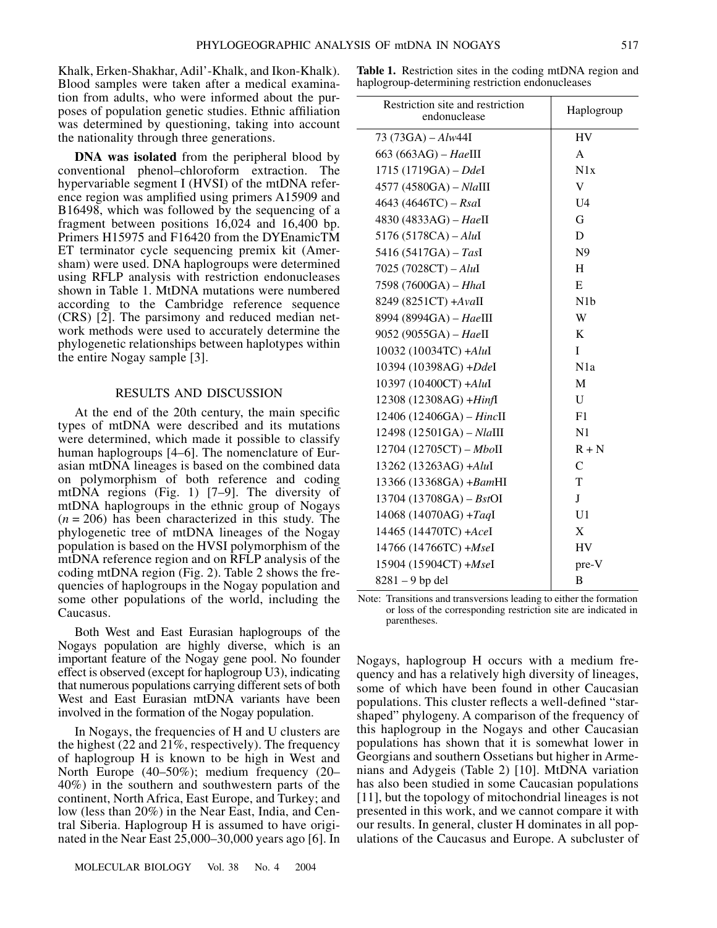Khalk, Erken-Shakhar, Adil'-Khalk, and Ikon-Khalk). Blood samples were taken after a medical examination from adults, who were informed about the purposes of population genetic studies. Ethnic affiliation was determined by questioning, taking into account the nationality through three generations.

**DNA was isolated** from the peripheral blood by conventional phenol–chloroform extraction. The hypervariable segment I (HVSI) of the mtDNA reference region was amplified using primers A15909 and B16498, which was followed by the sequencing of a fragment between positions 16,024 and 16,400 bp. Primers H15975 and F16420 from the DYEnamicTM ET terminator cycle sequencing premix kit (Amersham) were used. DNA haplogroups were determined using RFLP analysis with restriction endonucleases shown in Table 1. MtDNA mutations were numbered according to the Cambridge reference sequence (CRS) [2]. The parsimony and reduced median network methods were used to accurately determine the phylogenetic relationships between haplotypes within the entire Nogay sample [3].

## RESULTS AND DISCUSSION

At the end of the 20th century, the main specific types of mtDNA were described and its mutations were determined, which made it possible to classify human haplogroups [4–6]. The nomenclature of Eurasian mtDNA lineages is based on the combined data on polymorphism of both reference and coding mtDNA regions (Fig. 1) [7–9]. The diversity of mtDNA haplogroups in the ethnic group of Nogays  $(n = 206)$  has been characterized in this study. The phylogenetic tree of mtDNA lineages of the Nogay population is based on the HVSI polymorphism of the mtDNA reference region and on RFLP analysis of the coding mtDNA region (Fig. 2). Table 2 shows the frequencies of haplogroups in the Nogay population and some other populations of the world, including the Caucasus.

Both West and East Eurasian haplogroups of the Nogays population are highly diverse, which is an important feature of the Nogay gene pool. No founder effect is observed (except for haplogroup U3), indicating that numerous populations carrying different sets of both West and East Eurasian mtDNA variants have been involved in the formation of the Nogay population.

In Nogays, the frequencies of H and U clusters are the highest (22 and 21%, respectively). The frequency of haplogroup H is known to be high in West and North Europe (40–50%); medium frequency (20– 40%) in the southern and southwestern parts of the continent, North Africa, East Europe, and Turkey; and low (less than 20%) in the Near East, India, and Central Siberia. Haplogroup H is assumed to have originated in the Near East 25,000–30,000 years ago [6]. In

**Table 1.** Restriction sites in the coding mtDNA region and haplogroup-determining restriction endonucleases

| Restriction site and restriction<br>endonuclease | Haplogroup     |  |  |
|--------------------------------------------------|----------------|--|--|
| 73 (73GA) - Alw44I                               | <b>HV</b>      |  |  |
| 663 (663AG) - HaeIII                             | $\mathsf{A}$   |  |  |
| $1715(1719GA) - DdeI$                            | N1x            |  |  |
| 4577 (4580GA) - NlaIII                           | $\mathbf{V}$   |  |  |
| $4643 (4646TC) - RsaI$                           | U4             |  |  |
| 4830 (4833AG) - HaeII                            | G              |  |  |
| $5176(5178CA) - AluI$                            | D              |  |  |
| 5416 (5417GA) – TasI                             | N <sub>9</sub> |  |  |
| $7025(7028CT) - AluI$                            | H              |  |  |
| 7598 (7600GA) - Hhal                             | E              |  |  |
| 8249 (8251CT) +AvaII                             | N1b            |  |  |
| 8994 (8994GA) - HaeIII                           | W              |  |  |
| 9052 (9055GA) - HaeII                            | K              |  |  |
| 10032 (10034TC) +AluI                            | T              |  |  |
| 10394 (10398AG) +DdeI                            | N1a            |  |  |
| 10397 (10400CT) +AluI                            | M              |  |  |
| 12308 (12308AG) + Hinfl                          | U              |  |  |
| 12406 (12406GA) - HincII                         | F1             |  |  |
| 12498 (12501GA) - NlaIII                         | N <sub>1</sub> |  |  |
| 12704 (12705CT) - MboII                          | $R + N$        |  |  |
| 13262 (13263AG) + AluI                           | C              |  |  |
| 13366 (13368GA) + BamHI                          | T              |  |  |
| 13704 (13708GA) - BstOI                          | J              |  |  |
| 14068 (14070AG) +TaqI                            | U <sub>1</sub> |  |  |
| 14465 (14470TC) +AceI                            | X              |  |  |
| 14766 (14766TC) +MseI                            | HV             |  |  |
| 15904 (15904CT) +MseI                            | pre-V          |  |  |
| $8281 - 9$ bp del                                | B              |  |  |

Note: Transitions and transversions leading to either the formation or loss of the corresponding restriction site are indicated in parentheses.

Nogays, haplogroup H occurs with a medium frequency and has a relatively high diversity of lineages, some of which have been found in other Caucasian populations. This cluster reflects a well-defined "starshaped" phylogeny. A comparison of the frequency of this haplogroup in the Nogays and other Caucasian populations has shown that it is somewhat lower in Georgians and southern Ossetians but higher in Armenians and Adygeis (Table 2) [10]. MtDNA variation has also been studied in some Caucasian populations [11], but the topology of mitochondrial lineages is not presented in this work, and we cannot compare it with our results. In general, cluster H dominates in all populations of the Caucasus and Europe. A subcluster of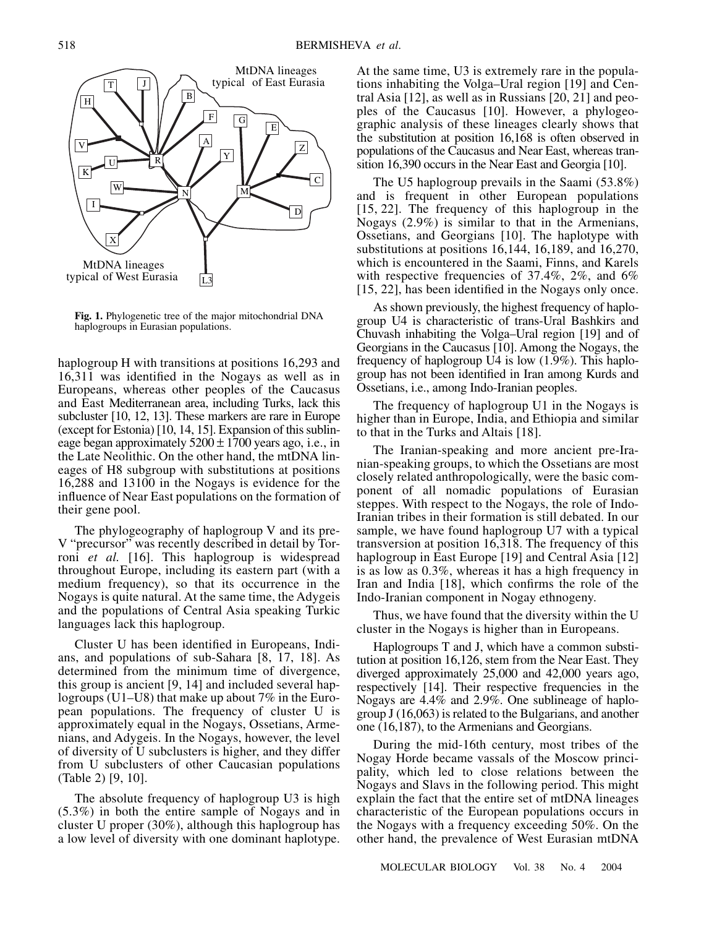

**Fig. 1.** Phylogenetic tree of the major mitochondrial DNA haplogroups in Eurasian populations.

haplogroup H with transitions at positions 16,293 and 16,311 was identified in the Nogays as well as in Europeans, whereas other peoples of the Caucasus and East Mediterranean area, including Turks, lack this subcluster [10, 12, 13]. These markers are rare in Europe (except for Estonia) [10, 14, 15]. Expansion of this sublineage began approximately  $5200 \pm 1700$  years ago, i.e., in the Late Neolithic. On the other hand, the mtDNA lineages of H8 subgroup with substitutions at positions 16,288 and 13100 in the Nogays is evidence for the influence of Near East populations on the formation of their gene pool.

The phylogeography of haplogroup V and its pre-V "precursor" was recently described in detail by Torroni *et al.* [16]. This haplogroup is widespread throughout Europe, including its eastern part (with a medium frequency), so that its occurrence in the Nogays is quite natural. At the same time, the Adygeis and the populations of Central Asia speaking Turkic languages lack this haplogroup.

Cluster U has been identified in Europeans, Indians, and populations of sub-Sahara [8, 17, 18]. As determined from the minimum time of divergence, this group is ancient [9, 14] and included several haplogroups (U1–U8) that make up about 7% in the European populations. The frequency of cluster U is approximately equal in the Nogays, Ossetians, Armenians, and Adygeis. In the Nogays, however, the level of diversity of U subclusters is higher, and they differ from U subclusters of other Caucasian populations (Table 2) [9, 10].

The absolute frequency of haplogroup U3 is high (5.3%) in both the entire sample of Nogays and in cluster U proper (30%), although this haplogroup has a low level of diversity with one dominant haplotype. At the same time, U3 is extremely rare in the populations inhabiting the Volga–Ural region [19] and Central Asia [12], as well as in Russians [20, 21] and peoples of the Caucasus [10]. However, a phylogeographic analysis of these lineages clearly shows that the substitution at position 16,168 is often observed in populations of the Caucasus and Near East, whereas transition 16,390 occurs in the Near East and Georgia [10].

The U5 haplogroup prevails in the Saami (53.8%) and is frequent in other European populations [15, 22]. The frequency of this haplogroup in the Nogays (2.9%) is similar to that in the Armenians, Ossetians, and Georgians [10]. The haplotype with substitutions at positions 16,144, 16,189, and 16,270, which is encountered in the Saami, Finns, and Karels with respective frequencies of 37.4%, 2%, and 6% [15, 22], has been identified in the Nogays only once.

As shown previously, the highest frequency of haplogroup U4 is characteristic of trans-Ural Bashkirs and Chuvash inhabiting the Volga–Ural region [19] and of Georgians in the Caucasus [10]. Among the Nogays, the frequency of haplogroup U4 is low (1.9%). This haplogroup has not been identified in Iran among Kurds and Ossetians, i.e., among Indo-Iranian peoples.

The frequency of haplogroup U1 in the Nogays is higher than in Europe, India, and Ethiopia and similar to that in the Turks and Altais [18].

The Iranian-speaking and more ancient pre-Iranian-speaking groups, to which the Ossetians are most closely related anthropologically, were the basic component of all nomadic populations of Eurasian steppes. With respect to the Nogays, the role of Indo-Iranian tribes in their formation is still debated. In our sample, we have found haplogroup U7 with a typical transversion at position 16,318. The frequency of this haplogroup in East Europe [19] and Central Asia [12] is as low as 0.3%, whereas it has a high frequency in Iran and India [18], which confirms the role of the Indo-Iranian component in Nogay ethnogeny.

Thus, we have found that the diversity within the U cluster in the Nogays is higher than in Europeans.

Haplogroups T and J, which have a common substitution at position 16,126, stem from the Near East. They diverged approximately 25,000 and 42,000 years ago, respectively [14]. Their respective frequencies in the Nogays are 4.4% and 2.9%. One sublineage of haplogroup J (16,063) is related to the Bulgarians, and another one (16,187), to the Armenians and Georgians.

During the mid-16th century, most tribes of the Nogay Horde became vassals of the Moscow principality, which led to close relations between the Nogays and Slavs in the following period. This might explain the fact that the entire set of mtDNA lineages characteristic of the European populations occurs in the Nogays with a frequency exceeding 50%. On the other hand, the prevalence of West Eurasian mtDNA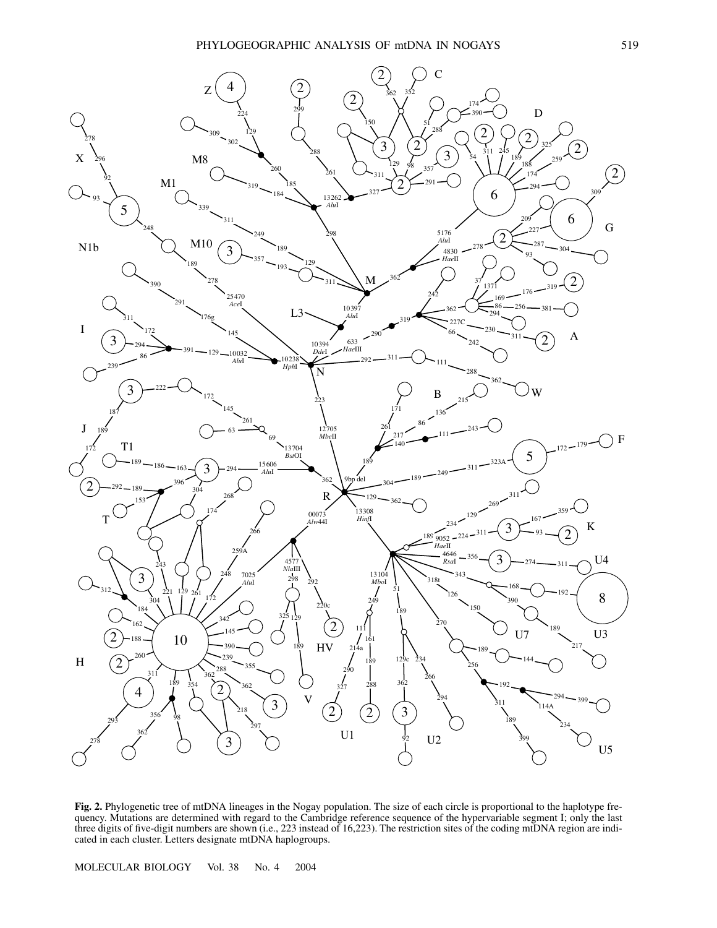



MOLECULAR BIOLOGY Vol. 38 No. 4 2004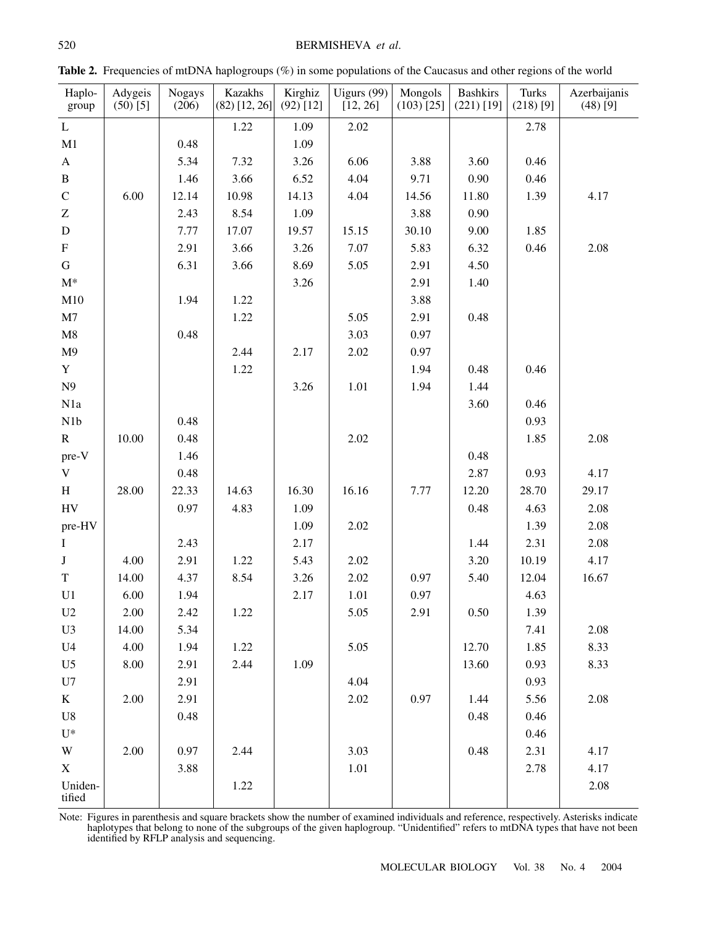## BERMISHEVA *et al*.

| Haplo-<br>group           | Adygeis<br>$(50)$ [5] | <b>Nogays</b><br>(206) | <b>Kazakhs</b><br>$(82)$ [12, 26] | Kirghiz<br>$(92)$ [12] | Uigurs (99)<br>[12, 26] | Mongols<br>$(103)\overline{[}25]$ | <b>Bashkirs</b><br>$(221)$ [19] | <b>Turks</b><br>$(218)$ [9] | Azerbaijanis<br>$(48)$ [9] |
|---------------------------|-----------------------|------------------------|-----------------------------------|------------------------|-------------------------|-----------------------------------|---------------------------------|-----------------------------|----------------------------|
| $\mathbf{L}$              |                       |                        | 1.22                              | 1.09                   | 2.02                    |                                   |                                 | 2.78                        |                            |
| M1                        |                       | 0.48                   |                                   | 1.09                   |                         |                                   |                                 |                             |                            |
| $\mathbf{A}$              |                       | 5.34                   | 7.32                              | 3.26                   | 6.06                    | 3.88                              | 3.60                            | 0.46                        |                            |
| $\, {\bf B}$              |                       | 1.46                   | 3.66                              | 6.52                   | 4.04                    | 9.71                              | 0.90                            | 0.46                        |                            |
| $\mathbf C$               | 6.00                  | 12.14                  | 10.98                             | 14.13                  | 4.04                    | 14.56                             | 11.80                           | 1.39                        | 4.17                       |
| $\boldsymbol{Z}$          |                       | 2.43                   | 8.54                              | 1.09                   |                         | 3.88                              | 0.90                            |                             |                            |
| $\mathbf D$               |                       | 7.77                   | 17.07                             | 19.57                  | 15.15                   | 30.10                             | 9.00                            | 1.85                        |                            |
| $\boldsymbol{\mathrm{F}}$ |                       | 2.91                   | 3.66                              | 3.26                   | 7.07                    | 5.83                              | 6.32                            | 0.46                        | 2.08                       |
| ${\bf G}$                 |                       | 6.31                   | 3.66                              | 8.69                   | 5.05                    | 2.91                              | 4.50                            |                             |                            |
| $M^*$                     |                       |                        |                                   | 3.26                   |                         | 2.91                              | 1.40                            |                             |                            |
| M10                       |                       | 1.94                   | 1.22                              |                        |                         | 3.88                              |                                 |                             |                            |
| M7                        |                       |                        | 1.22                              |                        | 5.05                    | 2.91                              | 0.48                            |                             |                            |
| M8                        |                       | 0.48                   |                                   |                        | 3.03                    | 0.97                              |                                 |                             |                            |
| M9                        |                       |                        | 2.44                              | 2.17                   | 2.02                    | 0.97                              |                                 |                             |                            |
| Y                         |                       |                        | 1.22                              |                        |                         | 1.94                              | 0.48                            | 0.46                        |                            |
| N <sub>9</sub>            |                       |                        |                                   | 3.26                   | 1.01                    | 1.94                              | 1.44                            |                             |                            |
| N1a                       |                       |                        |                                   |                        |                         |                                   | 3.60                            | 0.46                        |                            |
| N1b                       |                       | 0.48                   |                                   |                        |                         |                                   |                                 | 0.93                        |                            |
| $\mathbf R$               | 10.00                 | 0.48                   |                                   |                        | 2.02                    |                                   |                                 | 1.85                        | 2.08                       |
| pre-V                     |                       | 1.46                   |                                   |                        |                         |                                   | 0.48                            |                             |                            |
| $\mathbf V$               |                       | 0.48                   |                                   |                        |                         |                                   | 2.87                            | 0.93                        | 4.17                       |
| $\, {\rm H}$              | 28.00                 | 22.33                  | 14.63                             | 16.30                  | 16.16                   | 7.77                              | 12.20                           | 28.70                       | 29.17                      |
| HV                        |                       | 0.97                   | 4.83                              | 1.09                   |                         |                                   | 0.48                            | 4.63                        | 2.08                       |
| pre-HV                    |                       |                        |                                   | 1.09                   | 2.02                    |                                   |                                 | 1.39                        | 2.08                       |
| $\mathbf I$               |                       | 2.43                   |                                   | 2.17                   |                         |                                   | 1.44                            | 2.31                        | 2.08                       |
| $\bf J$                   | 4.00                  | 2.91                   | 1.22                              | 5.43                   | 2.02                    |                                   | 3.20                            | 10.19                       | 4.17                       |
| $\mathbf T$               | 14.00                 | 4.37                   | 8.54                              | 3.26                   | 2.02                    | 0.97                              | 5.40                            | 12.04                       | 16.67                      |
| U <sub>1</sub>            | 6.00                  | 1.94                   |                                   | 2.17                   | 1.01                    | 0.97                              |                                 | 4.63                        |                            |
| U2                        | 2.00                  | 2.42                   | 1.22                              |                        | 5.05                    | 2.91                              | 0.50                            | 1.39                        |                            |
| U3                        | 14.00                 | 5.34                   |                                   |                        |                         |                                   |                                 | 7.41                        | 2.08                       |
| U <sub>4</sub>            | 4.00                  | 1.94                   | 1.22                              |                        | 5.05                    |                                   | 12.70                           | 1.85                        | 8.33                       |
| U <sub>5</sub>            | 8.00                  | 2.91                   | 2.44                              | 1.09                   |                         |                                   | 13.60                           | 0.93                        | 8.33                       |
| U7                        |                       | 2.91                   |                                   |                        | 4.04                    |                                   |                                 | 0.93                        |                            |
| $\bf K$                   | 2.00                  | 2.91                   |                                   |                        | 2.02                    | 0.97                              | 1.44                            | 5.56                        | 2.08                       |
| ${\bf U}8$                |                       | 0.48                   |                                   |                        |                         |                                   | 0.48                            | 0.46                        |                            |
| $U^*$                     |                       |                        |                                   |                        |                         |                                   |                                 | 0.46                        |                            |
| W                         | 2.00                  | 0.97                   | 2.44                              |                        | 3.03                    |                                   | 0.48                            | 2.31                        | 4.17                       |
| X                         |                       | 3.88                   |                                   |                        | 1.01                    |                                   |                                 | 2.78                        | 4.17                       |
| Uniden-<br>tified         |                       |                        | 1.22                              |                        |                         |                                   |                                 |                             | 2.08                       |

**Table 2.** Frequencies of mtDNA haplogroups (%) in some populations of the Caucasus and other regions of the world

Note: Figures in parenthesis and square brackets show the number of examined individuals and reference, respectively. Asterisks indicate haplotypes that belong to none of the subgroups of the given haplogroup. "Unidentified" refers to mtDNA types that have not been identified by RFLP analysis and sequencing.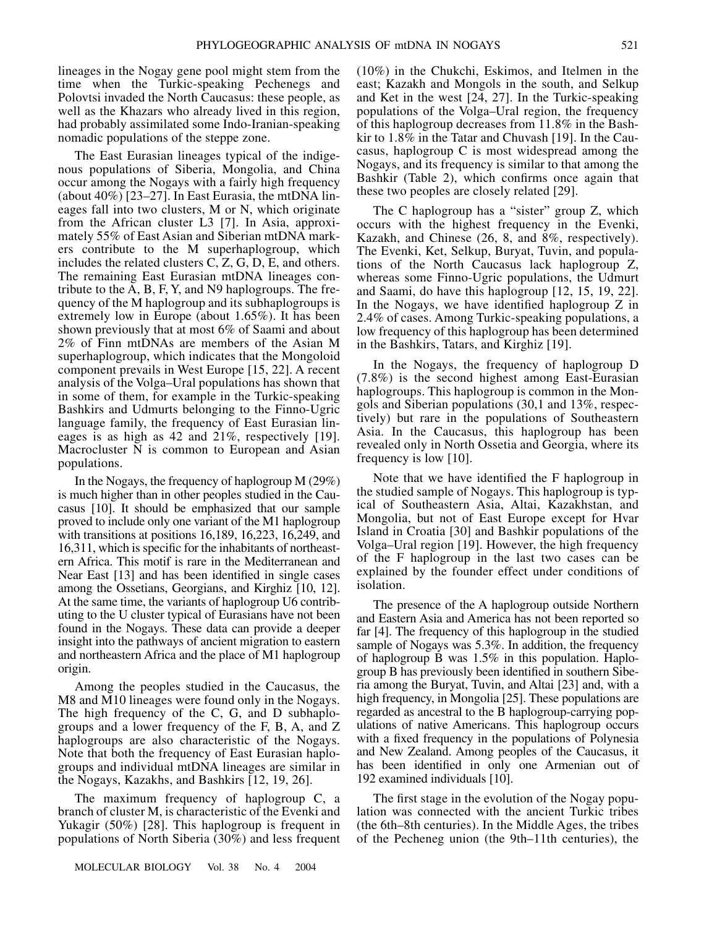lineages in the Nogay gene pool might stem from the time when the Turkic-speaking Pechenegs and Polovtsi invaded the North Caucasus: these people, as well as the Khazars who already lived in this region, had probably assimilated some Indo-Iranian-speaking nomadic populations of the steppe zone.

The East Eurasian lineages typical of the indigenous populations of Siberia, Mongolia, and China occur among the Nogays with a fairly high frequency (about 40%) [23–27]. In East Eurasia, the mtDNA lineages fall into two clusters, M or N, which originate from the African cluster L3 [7]. In Asia, approximately 55% of East Asian and Siberian mtDNA markers contribute to the M superhaplogroup, which includes the related clusters C, Z, G, D, E, and others. The remaining East Eurasian mtDNA lineages contribute to the A, B, F, Y, and N9 haplogroups. The frequency of the M haplogroup and its subhaplogroups is extremely low in Europe (about 1.65%). It has been shown previously that at most 6% of Saami and about 2% of Finn mtDNAs are members of the Asian M superhaplogroup, which indicates that the Mongoloid component prevails in West Europe [15, 22]. A recent analysis of the Volga–Ural populations has shown that in some of them, for example in the Turkic-speaking Bashkirs and Udmurts belonging to the Finno-Ugric language family, the frequency of East Eurasian lineages is as high as 42 and 21%, respectively [19]. Macrocluster N is common to European and Asian populations.

In the Nogays, the frequency of haplogroup M (29%) is much higher than in other peoples studied in the Caucasus [10]. It should be emphasized that our sample proved to include only one variant of the M1 haplogroup with transitions at positions 16,189, 16,223, 16,249, and 16,311, which is specific for the inhabitants of northeastern Africa. This motif is rare in the Mediterranean and Near East [13] and has been identified in single cases among the Ossetians, Georgians, and Kirghiz [10, 12]. At the same time, the variants of haplogroup U6 contributing to the U cluster typical of Eurasians have not been found in the Nogays. These data can provide a deeper insight into the pathways of ancient migration to eastern and northeastern Africa and the place of M1 haplogroup origin.

Among the peoples studied in the Caucasus, the M8 and M10 lineages were found only in the Nogays. The high frequency of the C, G, and D subhaplogroups and a lower frequency of the F, B, A, and Z haplogroups are also characteristic of the Nogays. Note that both the frequency of East Eurasian haplogroups and individual mtDNA lineages are similar in the Nogays, Kazakhs, and Bashkirs [12, 19, 26].

The maximum frequency of haplogroup C, a branch of cluster M, is characteristic of the Evenki and Yukagir (50%) [28]. This haplogroup is frequent in populations of North Siberia (30%) and less frequent

MOLECULAR BIOLOGY Vol. 38 No. 4 2004

(10%) in the Chukchi, Eskimos, and Itelmen in the east; Kazakh and Mongols in the south, and Selkup and Ket in the west [24, 27]. In the Turkic-speaking populations of the Volga–Ural region, the frequency of this haplogroup decreases from 11.8% in the Bashkir to 1.8% in the Tatar and Chuvash [19]. In the Caucasus, haplogroup C is most widespread among the Nogays, and its frequency is similar to that among the Bashkir (Table 2), which confirms once again that these two peoples are closely related [29].

The C haplogroup has a "sister" group Z, which occurs with the highest frequency in the Evenki, Kazakh, and Chinese (26, 8, and 8%, respectively). The Evenki, Ket, Selkup, Buryat, Tuvin, and populations of the North Caucasus lack haplogroup Z, whereas some Finno-Ugric populations, the Udmurt and Saami, do have this haplogroup [12, 15, 19, 22]. In the Nogays, we have identified haplogroup Z in 2.4% of cases. Among Turkic-speaking populations, a low frequency of this haplogroup has been determined in the Bashkirs, Tatars, and Kirghiz [19].

In the Nogays, the frequency of haplogroup D (7.8%) is the second highest among East-Eurasian haplogroups. This haplogroup is common in the Mongols and Siberian populations (30,1 and 13%, respectively) but rare in the populations of Southeastern Asia. In the Caucasus, this haplogroup has been revealed only in North Ossetia and Georgia, where its frequency is low [10].

Note that we have identified the F haplogroup in the studied sample of Nogays. This haplogroup is typical of Southeastern Asia, Altai, Kazakhstan, and Mongolia, but not of East Europe except for Hvar Island in Croatia [30] and Bashkir populations of the Volga–Ural region [19]. However, the high frequency of the F haplogroup in the last two cases can be explained by the founder effect under conditions of isolation.

The presence of the A haplogroup outside Northern and Eastern Asia and America has not been reported so far [4]. The frequency of this haplogroup in the studied sample of Nogays was 5.3%. In addition, the frequency of haplogroup B was 1.5% in this population. Haplogroup B has previously been identified in southern Siberia among the Buryat, Tuvin, and Altai [23] and, with a high frequency, in Mongolia [25]. These populations are regarded as ancestral to the B haplogroup-carrying populations of native Americans. This haplogroup occurs with a fixed frequency in the populations of Polynesia and New Zealand. Among peoples of the Caucasus, it has been identified in only one Armenian out of 192 examined individuals [10].

The first stage in the evolution of the Nogay population was connected with the ancient Turkic tribes (the 6th–8th centuries). In the Middle Ages, the tribes of the Pecheneg union (the 9th–11th centuries), the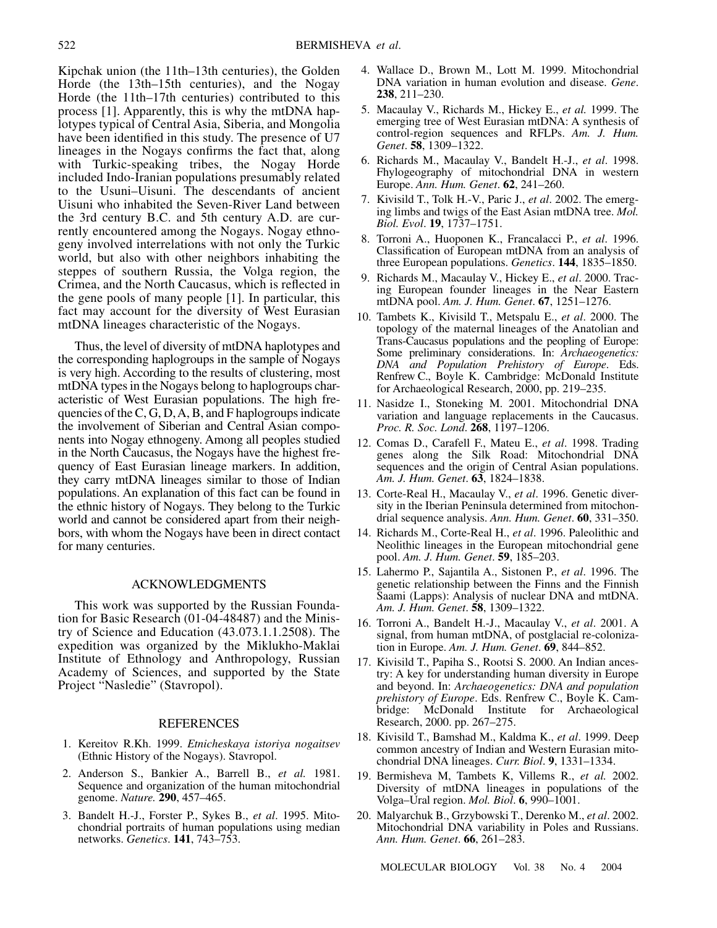Kipchak union (the 11th–13th centuries), the Golden Horde (the 13th–15th centuries), and the Nogay Horde (the 11th–17th centuries) contributed to this process [1]. Apparently, this is why the mtDNA haplotypes typical of Central Asia, Siberia, and Mongolia have been identified in this study. The presence of U7 lineages in the Nogays confirms the fact that, along with Turkic-speaking tribes, the Nogay Horde included Indo-Iranian populations presumably related to the Usuni–Uisuni. The descendants of ancient Uisuni who inhabited the Seven-River Land between the 3rd century B.C. and 5th century A.D. are currently encountered among the Nogays. Nogay ethnogeny involved interrelations with not only the Turkic world, but also with other neighbors inhabiting the steppes of southern Russia, the Volga region, the Crimea, and the North Caucasus, which is reflected in the gene pools of many people [1]. In particular, this fact may account for the diversity of West Eurasian mtDNA lineages characteristic of the Nogays.

Thus, the level of diversity of mtDNA haplotypes and the corresponding haplogroups in the sample of Nogays is very high. According to the results of clustering, most mtDNA types in the Nogays belong to haplogroups characteristic of West Eurasian populations. The high frequencies of the C, G, D, A, B, and F haplogroups indicate the involvement of Siberian and Central Asian components into Nogay ethnogeny. Among all peoples studied in the North Caucasus, the Nogays have the highest frequency of East Eurasian lineage markers. In addition, they carry mtDNA lineages similar to those of Indian populations. An explanation of this fact can be found in the ethnic history of Nogays. They belong to the Turkic world and cannot be considered apart from their neighbors, with whom the Nogays have been in direct contact for many centuries.

### ACKNOWLEDGMENTS

This work was supported by the Russian Foundation for Basic Research (01-04-48487) and the Ministry of Science and Education (43.073.1.1.2508). The expedition was organized by the Miklukho-Maklai Institute of Ethnology and Anthropology, Russian Academy of Sciences, and supported by the State Project "Nasledie" (Stavropol).

#### REFERENCES

- 1. Kereitov R.Kh. 1999. *Etnicheskaya istoriya nogaitsev* (Ethnic History of the Nogays). Stavropol.
- 2. Anderson S., Bankier A., Barrell B., *et al.* 1981. Sequence and organization of the human mitochondrial genome. *Nature.* **290**, 457–465.
- 3. Bandelt H.-J., Forster P., Sykes B., *et al*. 1995. Mitochondrial portraits of human populations using median networks. *Genetics*. **141**, 743–753.
- 4. Wallace D., Brown M., Lott M. 1999. Mitochondrial DNA variation in human evolution and disease. *Gene*. **238**, 211–230.
- 5. Macaulay V., Richards M., Hickey E., *et al.* 1999. The emerging tree of West Eurasian mtDNA: A synthesis of control-region sequences and RFLPs. *Am. J. Hum. Genet*. **58**, 1309–1322.
- 6. Richards M., Macaulay V., Bandelt H.-J., *et al*. 1998. Fhylogeography of mitochondrial DNA in western Europe. *Ann. Hum. Genet*. **62**, 241–260.
- 7. Kivisild T., Tolk H.-V., Paric J., *et al*. 2002. The emerging limbs and twigs of the East Asian mtDNA tree. *Mol. Biol. Evol*. **19**, 1737–1751.
- 8. Torroni A., Huoponen K., Francalacci P., *et al*. 1996. Classification of European mtDNA from an analysis of three European populations. *Genetics*. **144**, 1835–1850.
- 9. Richards M., Macaulay V., Hickey E., *et al*. 2000. Tracing European founder lineages in the Near Eastern mtDNA pool. *Am. J. Hum. Genet*. **67**, 1251–1276.
- 10. Tambets K., Kivisild T., Metspalu E., *et al*. 2000. The topology of the maternal lineages of the Anatolian and Trans-Caucasus populations and the peopling of Europe: Some preliminary considerations. In: *Archaeogenetics: DNA and Population Prehistory of Europe*. Eds. Renfrew C., Boyle K. Cambridge: McDonald Institute for Archaeological Research, 2000, pp. 219–235.
- 11. Nasidze I., Stoneking M. 2001. Mitochondrial DNA variation and language replacements in the Caucasus. *Proc. R. Soc. Lond*. **268**, 1197–1206.
- 12. Comas D., Carafell F., Mateu E., *et al*. 1998. Trading genes along the Silk Road: Mitochondrial DNA sequences and the origin of Central Asian populations. *Am. J. Hum. Genet*. **63**, 1824–1838.
- 13. Corte-Real H., Macaulay V., *et al*. 1996. Genetic diversity in the Iberian Peninsula determined from mitochondrial sequence analysis. *Ann. Hum. Genet*. **60**, 331–350.
- 14. Richards M., Corte-Real H., *et al*. 1996. Paleolithic and Neolithic lineages in the European mitochondrial gene pool. *Am. J. Hum. Genet*. **59**, 185–203.
- 15. Lahermo P., Sajantila A., Sistonen P., *et al*. 1996. The genetic relationship between the Finns and the Finnish Saami (Lapps): Analysis of nuclear DNA and mtDNA. *Am. J. Hum. Genet*. **58**, 1309–1322.
- 16. Torroni A., Bandelt H.-J., Macaulay V., *et al*. 2001. A signal, from human mtDNA, of postglacial re-colonization in Europe. *Am. J. Hum. Genet*. **69**, 844–852.
- 17. Kivisild T., Papiha S., Rootsi S. 2000. An Indian ancestry: A key for understanding human diversity in Europe and beyond. In: *Archaeogenetics: DNA and population prehistory of Europe*. Eds. Renfrew C., Boyle K. Cambridge: McDonald Institute for Archaeological Research, 2000. pp. 267–275.
- 18. Kivisild T., Bamshad M., Kaldma K., *et al*. 1999. Deep common ancestry of Indian and Western Eurasian mitochondrial DNA lineages. *Curr. Biol*. **9**, 1331–1334.
- 19. Bermisheva M, Tambets K, Villems R., *et al.* 2002. Diversity of mtDNA lineages in populations of the Volga–Ural region. *Mol. Biol*. **6**, 990–1001.
- 20. Malyarchuk B., Grzybowski T., Derenko M., *et al*. 2002. Mitochondrial DNA variability in Poles and Russians. *Ann. Hum. Genet*. **66**, 261–283.

MOLECULAR BIOLOGY Vol. 38 No. 4 2004